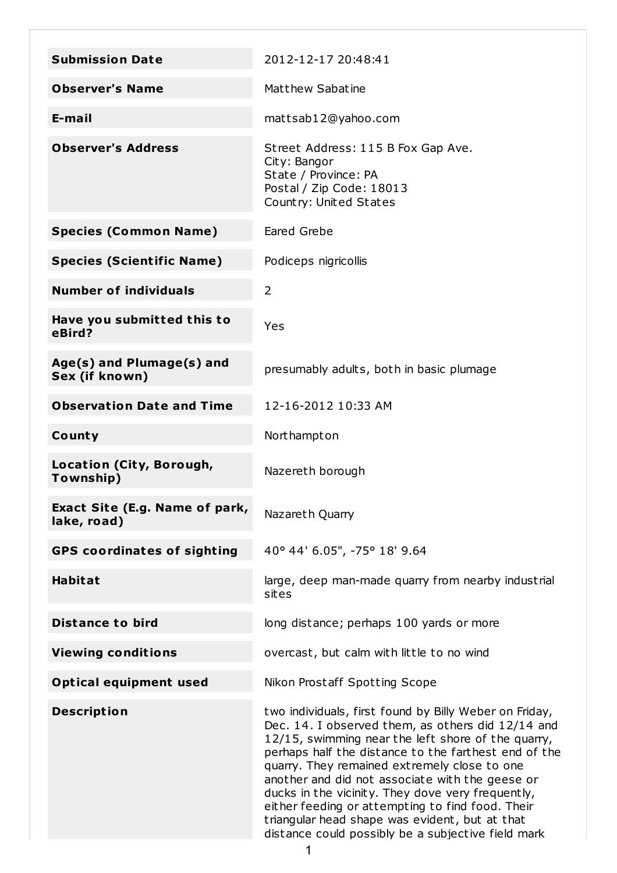| <b>Submission Date</b>                        | 2012-12-17 20:48:41                                                                                                                                                                                                                                                                                                                                                                                                                                                                                                                           |
|-----------------------------------------------|-----------------------------------------------------------------------------------------------------------------------------------------------------------------------------------------------------------------------------------------------------------------------------------------------------------------------------------------------------------------------------------------------------------------------------------------------------------------------------------------------------------------------------------------------|
| <b>Observer's Name</b>                        | Matthew Sabatine                                                                                                                                                                                                                                                                                                                                                                                                                                                                                                                              |
| E-mail                                        | mattsab12@yahoo.com                                                                                                                                                                                                                                                                                                                                                                                                                                                                                                                           |
| <b>Observer's Address</b>                     | Street Address: 115 B Fox Gap Ave.<br>City: Bangor<br>State / Province: PA<br>Postal / Zip Code: 18013<br>Country: United States                                                                                                                                                                                                                                                                                                                                                                                                              |
| <b>Species (Common Name)</b>                  | Eared Grebe                                                                                                                                                                                                                                                                                                                                                                                                                                                                                                                                   |
| <b>Species (Scientific Name)</b>              | Podiceps nigricollis                                                                                                                                                                                                                                                                                                                                                                                                                                                                                                                          |
| <b>Number of individuals</b>                  | $\overline{2}$                                                                                                                                                                                                                                                                                                                                                                                                                                                                                                                                |
| Have you submitted this to<br>eBird?          | Yes                                                                                                                                                                                                                                                                                                                                                                                                                                                                                                                                           |
| Age(s) and Plumage(s) and<br>Sex (if known)   | presumably adults, both in basic plumage                                                                                                                                                                                                                                                                                                                                                                                                                                                                                                      |
| <b>Observation Date and Time</b>              | 12-16-2012 10:33 AM                                                                                                                                                                                                                                                                                                                                                                                                                                                                                                                           |
| County                                        | Northampton                                                                                                                                                                                                                                                                                                                                                                                                                                                                                                                                   |
| Location (City, Borough,<br>Township)         | Nazereth borough                                                                                                                                                                                                                                                                                                                                                                                                                                                                                                                              |
| Exact Site (E.g. Name of park,<br>lake, road) | Nazareth Quarry                                                                                                                                                                                                                                                                                                                                                                                                                                                                                                                               |
| <b>GPS coordinates of sighting</b>            | 40° 44' 6.05", -75° 18' 9.64                                                                                                                                                                                                                                                                                                                                                                                                                                                                                                                  |
| <b>Habitat</b>                                | large, deep man-made quarry from nearby industrial<br>sites                                                                                                                                                                                                                                                                                                                                                                                                                                                                                   |
| <b>Distance to bird</b>                       | long distance; perhaps 100 yards or more                                                                                                                                                                                                                                                                                                                                                                                                                                                                                                      |
| <b>Viewing conditions</b>                     | overcast, but calm with little to no wind                                                                                                                                                                                                                                                                                                                                                                                                                                                                                                     |
| <b>Optical equipment used</b>                 | Nikon Prostaff Spotting Scope                                                                                                                                                                                                                                                                                                                                                                                                                                                                                                                 |
| <b>Description</b>                            | two individuals, first found by Billy Weber on Friday,<br>Dec. 14. I observed them, as others did 12/14 and<br>12/15, swimming near the left shore of the quarry,<br>perhaps half the distance to the farthest end of the<br>quarry. They remained extremely close to one<br>another and did not associate with the geese or<br>ducks in the vicinity. They dove very frequently,<br>either feeding or attempting to find food. Their<br>triangular head shape was evident, but at that<br>distance could possibly be a subjective field mark |